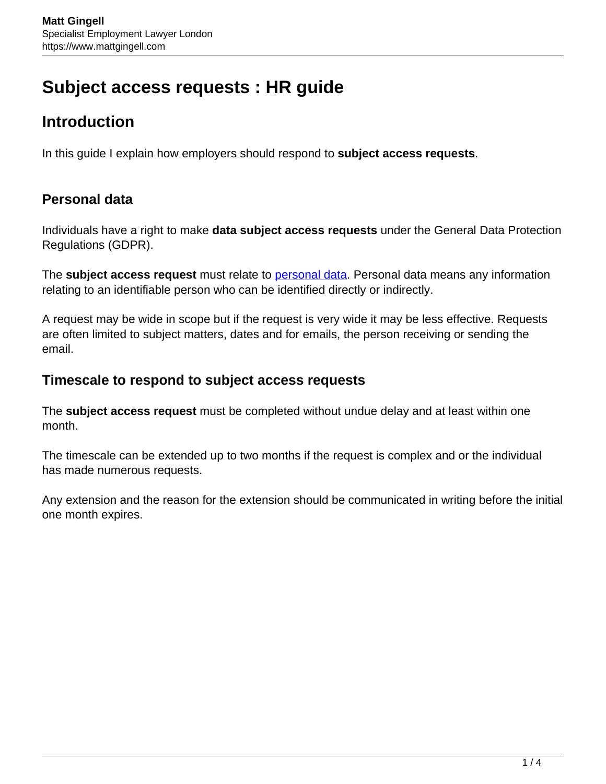# **Subject access requests : HR guide**

# **Introduction**

In this guide I explain how employers should respond to **subject access requests**.

## **Personal data**

Individuals have a right to make **data subject access requests** under the General Data Protection Regulations (GDPR).

The **subject access request** must relate to [personal data.](https://www.mattgingell.com/GDPR/) Personal data means any information relating to an identifiable person who can be identified directly or indirectly.

A request may be wide in scope but if the request is very wide it may be less effective. Requests are often limited to subject matters, dates and for emails, the person receiving or sending the email.

#### **Timescale to respond to subject access requests**

The **subject access request** must be completed without undue delay and at least within one month.

The timescale can be extended up to two months if the request is complex and or the individual has made numerous requests.

Any extension and the reason for the extension should be communicated in writing before the initial one month expires.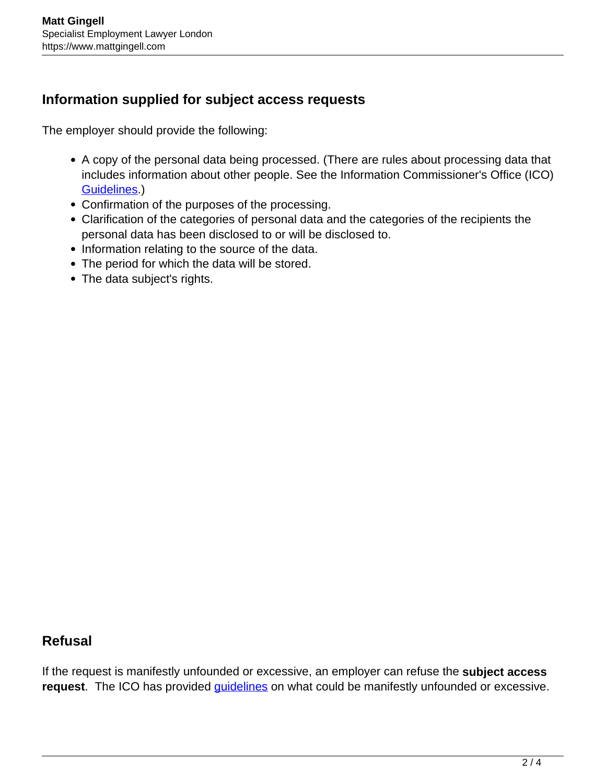### **Information supplied for subject access requests**

The employer should provide the following:

- A copy of the personal data being processed. (There are rules about processing data that includes information about other people. See the Information Commissioner's Office (ICO) [Guidelines](https://ico.org.uk/for-organisations/guide-to-data-protection/guide-to-the-general-data-protection-regulation-gdpr/).)
- Confirmation of the purposes of the processing.
- Clarification of the categories of personal data and the categories of the recipients the personal data has been disclosed to or will be disclosed to.
- Information relating to the source of the data.
- The period for which the data will be stored.
- The data subject's rights.

#### **Refusal**

If the request is manifestly unfounded or excessive, an employer can refuse the **subject access request**. The ICO has provided [guidelines](https://ico.org.uk/for-organisations/guide-to-data-protection/guide-to-the-general-data-protection-regulation-gdpr/) on what could be manifestly unfounded or excessive.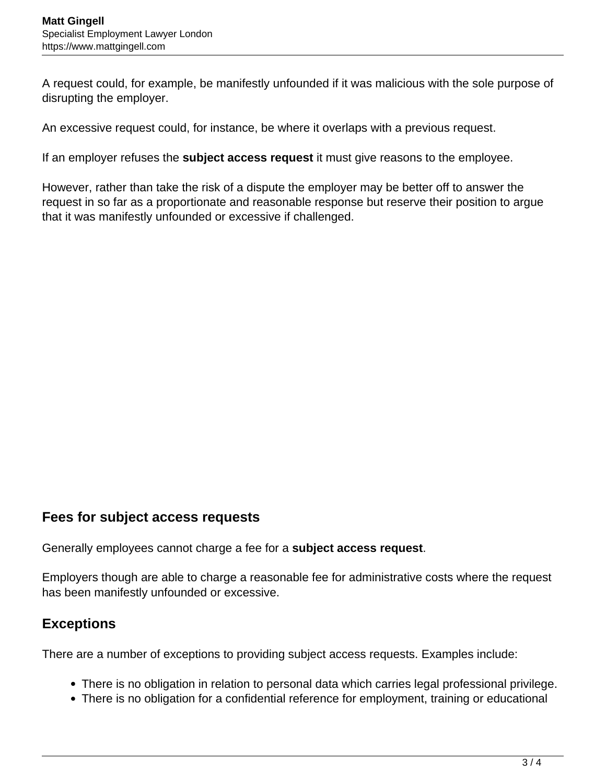A request could, for example, be manifestly unfounded if it was malicious with the sole purpose of disrupting the employer.

An excessive request could, for instance, be where it overlaps with a previous request.

If an employer refuses the **subject access request** it must give reasons to the employee.

However, rather than take the risk of a dispute the employer may be better off to answer the request in so far as a proportionate and reasonable response but reserve their position to argue that it was manifestly unfounded or excessive if challenged.

#### **Fees for subject access requests**

Generally employees cannot charge a fee for a **subject access request**.

Employers though are able to charge a reasonable fee for administrative costs where the request has been manifestly unfounded or excessive.

#### **Exceptions**

There are a number of exceptions to providing subject access requests. Examples include:

- There is no obligation in relation to personal data which carries legal professional privilege.
- There is no obligation for a confidential reference for employment, training or educational